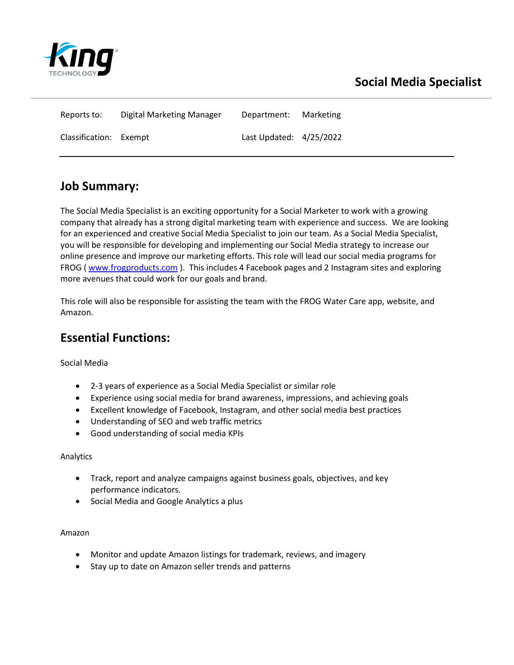

| Reports to:            | Digital Marketing Manager | Department:               | Marketing |
|------------------------|---------------------------|---------------------------|-----------|
| Classification: Exempt |                           | Last Updated: $4/25/2022$ |           |

## **Job Summary:**

The Social Media Specialist is an exciting opportunity for a Social Marketer to work with a growing company that already has a strong digital marketing team with experience and success. We are looking for an experienced and creative Social Media Specialist to join our team. As a Social Media Specialist, you will be responsible for developing and implementing our Social Media strategy to increase our online presence and improve our marketing efforts. This role will lead our social media programs for FROG [\( www.frogproducts.com](http://www.frogproducts.com/) ). This includes 4 Facebook pages and 2 Instagram sites and exploring more avenues that could work for our goals and brand.

This role will also be responsible for assisting the team with the FROG Water Care app, website, and Amazon.

## **Essential Functions:**

Social Media

- 2-3 years of experience as a Social Media Specialist or similar role
- Experience using social media for brand awareness, impressions, and achieving goals
- Excellent knowledge of Facebook, Instagram, and other social media best practices
- Understanding of SEO and web traffic metrics
- Good understanding of social media KPIs

#### Analytics

- Track, report and analyze campaigns against business goals, objectives, and key performance indicators.
- Social Media and Google Analytics a plus

Amazon

- Monitor and update Amazon listings for trademark, reviews, and imagery
- Stay up to date on Amazon seller trends and patterns